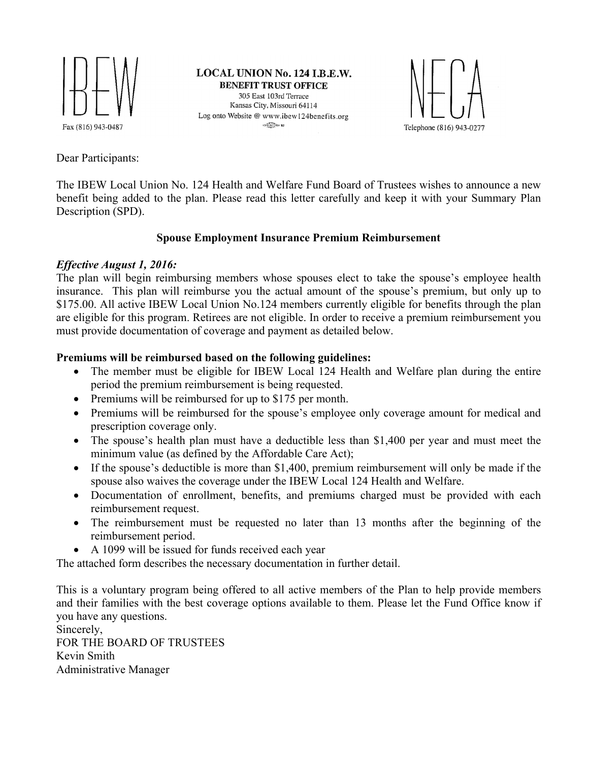

LOCAL UNION No. 124 I.B.E.W. **BENEFIT TRUST OFFICE** 305 East 103rd Terrace Kansas City, Missouri 64114 Log onto Website @ www.ibew124benefits.org  $C<sub>2</sub>C<sub>2</sub>C<sub>2</sub>$  (b)  $0.2$ 



Dear Participants:

The IBEW Local Union No. 124 Health and Welfare Fund Board of Trustees wishes to announce a new benefit being added to the plan. Please read this letter carefully and keep it with your Summary Plan Description (SPD).

## **Spouse Employment Insurance Premium Reimbursement**

## *Effective August 1, 2016:*

The plan will begin reimbursing members whose spouses elect to take the spouse's employee health insurance. This plan will reimburse you the actual amount of the spouse's premium, but only up to \$175.00. All active IBEW Local Union No.124 members currently eligible for benefits through the plan are eligible for this program. Retirees are not eligible. In order to receive a premium reimbursement you must provide documentation of coverage and payment as detailed below.

## **Premiums will be reimbursed based on the following guidelines:**

- The member must be eligible for IBEW Local 124 Health and Welfare plan during the entire period the premium reimbursement is being requested.
- Premiums will be reimbursed for up to \$175 per month.
- Premiums will be reimbursed for the spouse's employee only coverage amount for medical and prescription coverage only.
- The spouse's health plan must have a deductible less than \$1,400 per year and must meet the minimum value (as defined by the Affordable Care Act);
- If the spouse's deductible is more than \$1,400, premium reimbursement will only be made if the spouse also waives the coverage under the IBEW Local 124 Health and Welfare.
- Documentation of enrollment, benefits, and premiums charged must be provided with each reimbursement request.
- The reimbursement must be requested no later than 13 months after the beginning of the reimbursement period.
- A 1099 will be issued for funds received each year

The attached form describes the necessary documentation in further detail.

This is a voluntary program being offered to all active members of the Plan to help provide members and their families with the best coverage options available to them. Please let the Fund Office know if you have any questions.

Sincerely, FOR THE BOARD OF TRUSTEES Kevin Smith Administrative Manager